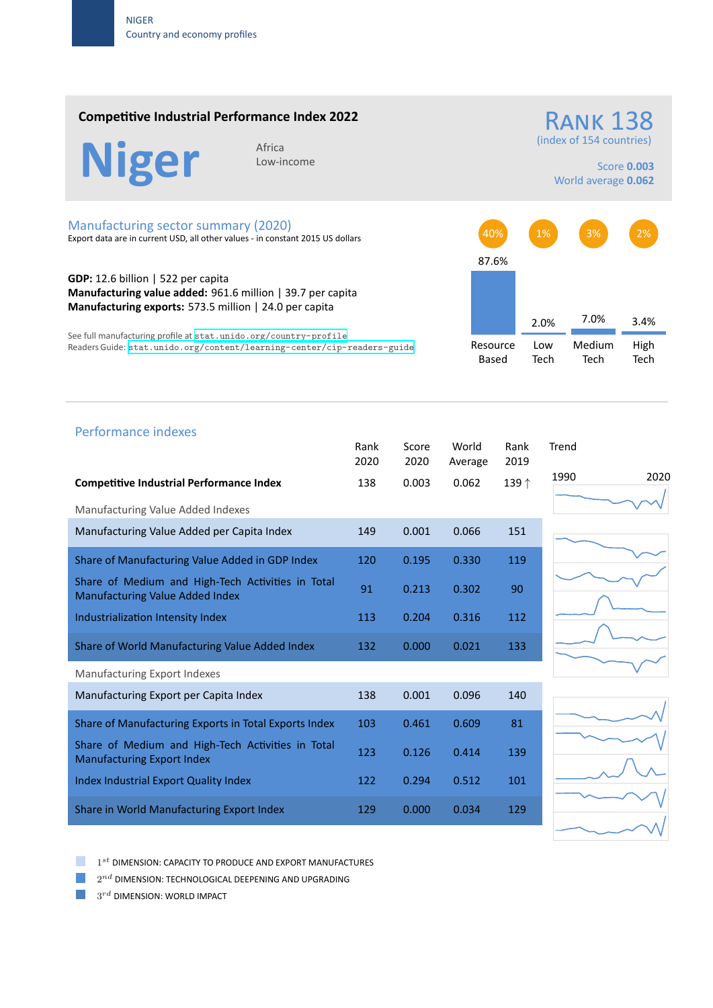### **Competitive Industrial Performance Index 2022**



Low‐income

RANK 138 (index of 154 countries)

> Score **0.003** World average **0.062**

#### Manufacturing sector summary (2020)

Export data are in current USD, all other values ‐ in constant 2015 US dollars

**GDP:** 12.6 billion | 522 per capita **Manufacturing value added:** 961.6 million | 39.7 per capita **Manufacturing exports:** 573.5 million | 24.0 per capita

See full manufacturing profile at stat.unido.org/country-profile Readers Guide: stat.unido.org/content/learning-center/cip-readers-guide



# 1990 2020 Performance indexes Rank Score World Rank Trend 2020 2020 Average 2019 **Competitive Industrial Performance Index** 138 0.003 0.062 139 *↑* Manufacturing Value Added Indexes Manufacturing Value Added per Capita Index 149 0.001 0.066 151 Share of Manufacturing Value Added in GDP Index 120 0.195 0.330 119 Share of Medium and High‐Tech Activities in Total Share of Medium and High-fech Activities in fotor 91 0.213 0.302 90 Industrialization Intensity Index 113 0.204 0.316 112 Share of World Manufacturing Value Added Index 132 0.000 0.021 133 Manufacturing Export Indexes Manufacturing Export per Capita Index 138 0.001 0.096 140 Share of Manufacturing Exports in Total Exports Index 103 0.461 0.609 81 Share of Medium and High‐Tech Activities in Total Manufacturing Export Index 123 d.126 0.414 139 Index Industrial Export Quality Index 122 0.294 0.512 101 Share in World Manufacturing Export Index 129 0.000 0.034 129

1 *st* DIMENSION: CAPACITY TO PRODUCE AND EXPORT MANUFACTURES

 $2^{nd}$  DIMENSION: TECHNOLOGICAL DEEPENING AND UPGRADING

 $3^{rd}$  DIMENSION: WORLD IMPACT